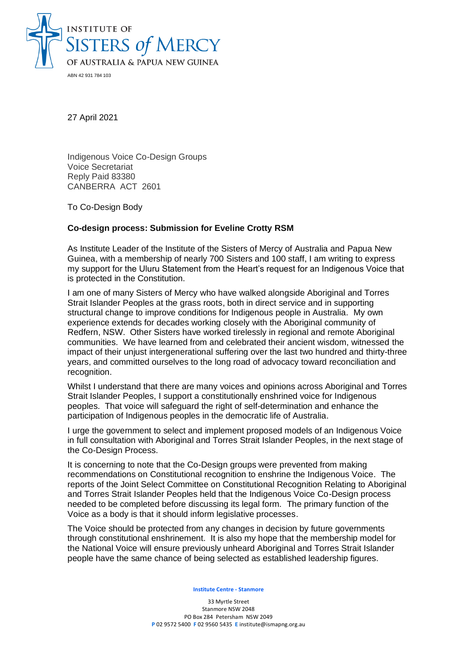

27 April 2021

Indigenous Voice Co-Design Groups Voice Secretariat Reply Paid 83380 CANBERRA ACT 2601

To Co-Design Body

## **Co-design process: Submission for Eveline Crotty RSM**

As Institute Leader of the Institute of the Sisters of Mercy of Australia and Papua New Guinea, with a membership of nearly 700 Sisters and 100 staff, I am writing to express my support for the Uluru Statement from the Heart's request for an Indigenous Voice that is protected in the Constitution.

I am one of many Sisters of Mercy who have walked alongside Aboriginal and Torres Strait Islander Peoples at the grass roots, both in direct service and in supporting structural change to improve conditions for Indigenous people in Australia. My own experience extends for decades working closely with the Aboriginal community of Redfern, NSW. Other Sisters have worked tirelessly in regional and remote Aboriginal communities. We have learned from and celebrated their ancient wisdom, witnessed the impact of their unjust intergenerational suffering over the last two hundred and thirty-three years, and committed ourselves to the long road of advocacy toward reconciliation and recognition.

Whilst I understand that there are many voices and opinions across Aboriginal and Torres Strait Islander Peoples, I support a constitutionally enshrined voice for Indigenous peoples. That voice will safeguard the right of self-determination and enhance the participation of Indigenous peoples in the democratic life of Australia.

I urge the government to select and implement proposed models of an Indigenous Voice in full consultation with Aboriginal and Torres Strait Islander Peoples, in the next stage of the Co-Design Process.

It is concerning to note that the Co-Design groups were prevented from making recommendations on Constitutional recognition to enshrine the Indigenous Voice. The reports of the Joint Select Committee on Constitutional Recognition Relating to Aboriginal and Torres Strait Islander Peoples held that the Indigenous Voice Co-Design process needed to be completed before discussing its legal form. The primary function of the Voice as a body is that it should inform legislative processes.

The Voice should be protected from any changes in decision by future governments through constitutional enshrinement. It is also my hope that the membership model for the National Voice will ensure previously unheard Aboriginal and Torres Strait Islander people have the same chance of being selected as established leadership figures.

**Institute Centre - Stanmore**